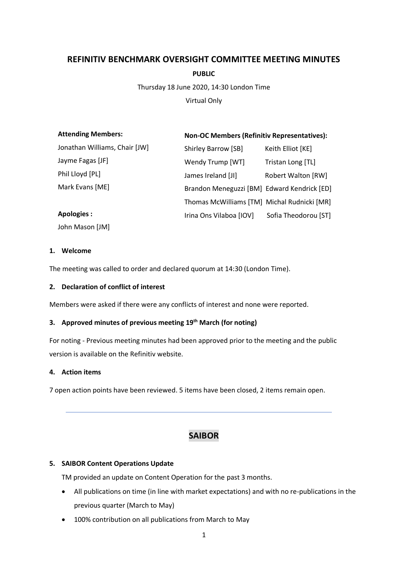# **REFINITIV BENCHMARK OVERSIGHT COMMITTEE MEETING MINUTES**

**PUBLIC**

Thursday 18 June 2020, 14:30 London Time

Virtual Only

| <b>Attending Members:</b>     | <b>Non-OC Members (Refinitiv Representatives):</b> |                           |
|-------------------------------|----------------------------------------------------|---------------------------|
| Jonathan Williams, Chair [JW] | Shirley Barrow [SB]                                | Keith Elliot [KE]         |
| Jayme Fagas [JF]              | Wendy Trump [WT]                                   | Tristan Long [TL]         |
| Phil Lloyd [PL]               | James Ireland [JI]                                 | <b>Robert Walton [RW]</b> |
| Mark Evans [ME]               | Brandon Meneguzzi [BM] Edward Kendrick [ED]        |                           |
|                               | Thomas McWilliams [TM] Michal Rudnicki [MR]        |                           |
| Apologies:                    | Irina Ons Vilaboa [IOV]                            | Sofia Theodorou [ST]      |
| John Mason [JM]               |                                                    |                           |

## **1. Welcome**

The meeting was called to order and declared quorum at 14:30 (London Time).

## **2. Declaration of conflict of interest**

Members were asked if there were any conflicts of interest and none were reported.

# **3. Approved minutes of previous meeting 19 th March (for noting)**

For noting - Previous meeting minutes had been approved prior to the meeting and the public version is available on the Refinitiv website.

## **4. Action items**

7 open action points have been reviewed. 5 items have been closed, 2 items remain open.

# **SAIBOR**

# **5. SAIBOR Content Operations Update**

TM provided an update on Content Operation for the past 3 months.

- All publications on time (in line with market expectations) and with no re-publications in the previous quarter (March to May)
- 100% contribution on all publications from March to May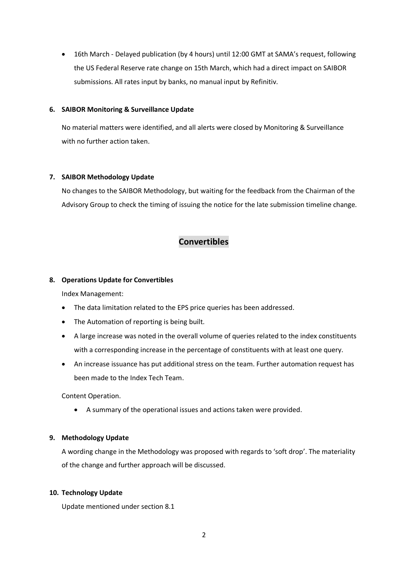• 16th March - Delayed publication (by 4 hours) until 12:00 GMT at SAMA's request, following the US Federal Reserve rate change on 15th March, which had a direct impact on SAIBOR submissions. All rates input by banks, no manual input by Refinitiv.

#### **6. SAIBOR Monitoring & Surveillance Update**

No material matters were identified, and all alerts were closed by Monitoring & Surveillance with no further action taken.

#### **7. SAIBOR Methodology Update**

No changes to the SAIBOR Methodology, but waiting for the feedback from the Chairman of the Advisory Group to check the timing of issuing the notice for the late submission timeline change.

# **Convertibles**

#### **8. Operations Update for Convertibles**

Index Management:

- The data limitation related to the EPS price queries has been addressed.
- The Automation of reporting is being built.
- A large increase was noted in the overall volume of queries related to the index constituents with a corresponding increase in the percentage of constituents with at least one query.
- An increase issuance has put additional stress on the team. Further automation request has been made to the Index Tech Team.

Content Operation.

• A summary of the operational issues and actions taken were provided.

#### **9. Methodology Update**

A wording change in the Methodology was proposed with regards to 'soft drop'. The materiality of the change and further approach will be discussed.

#### **10. Technology Update**

Update mentioned under section 8.1